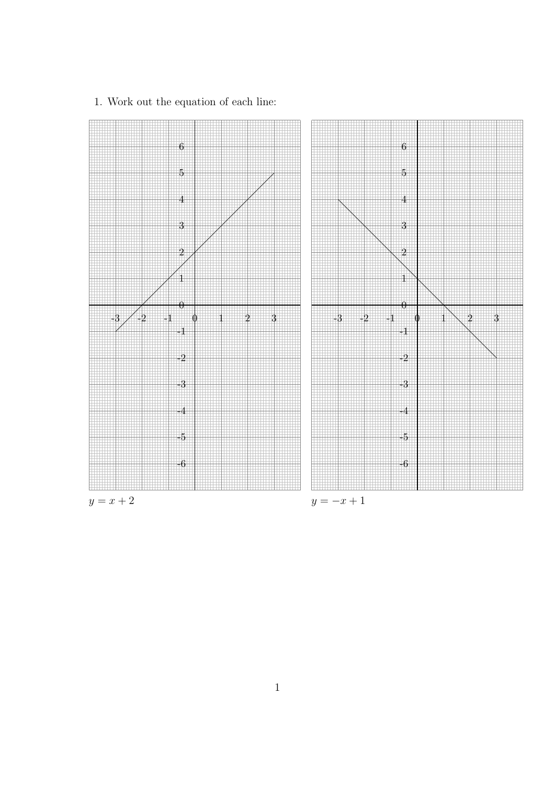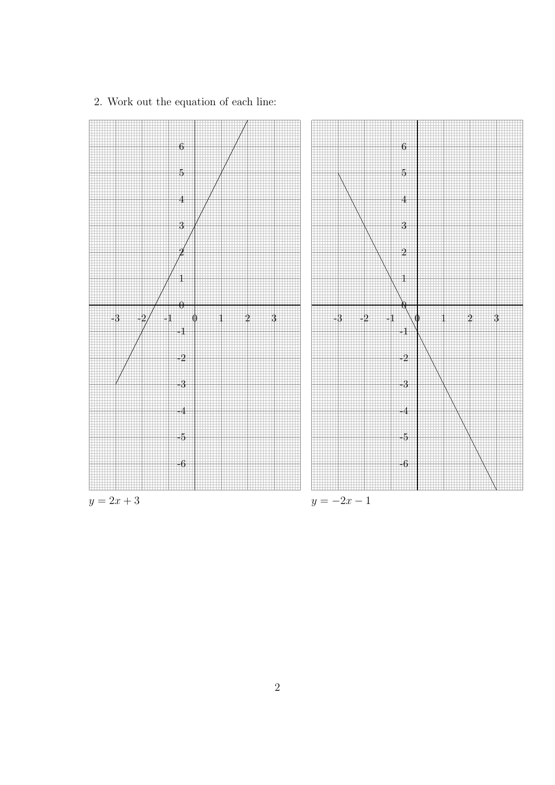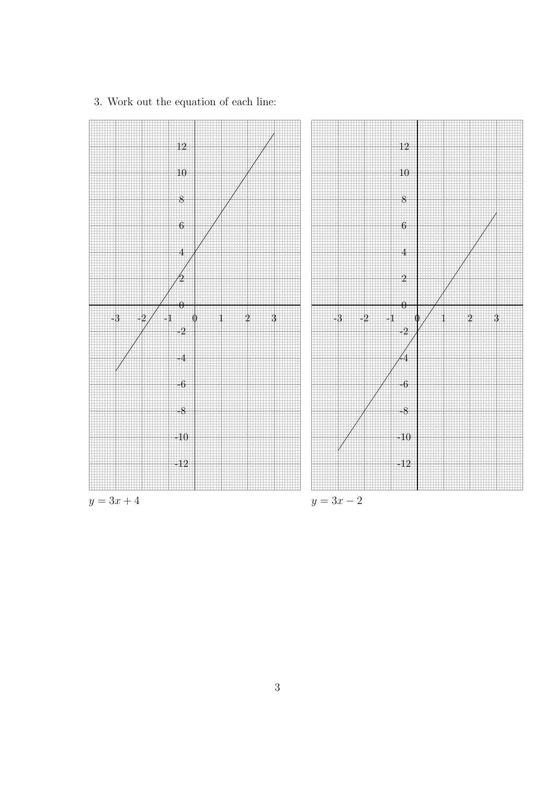

3. Work out the equation of each line: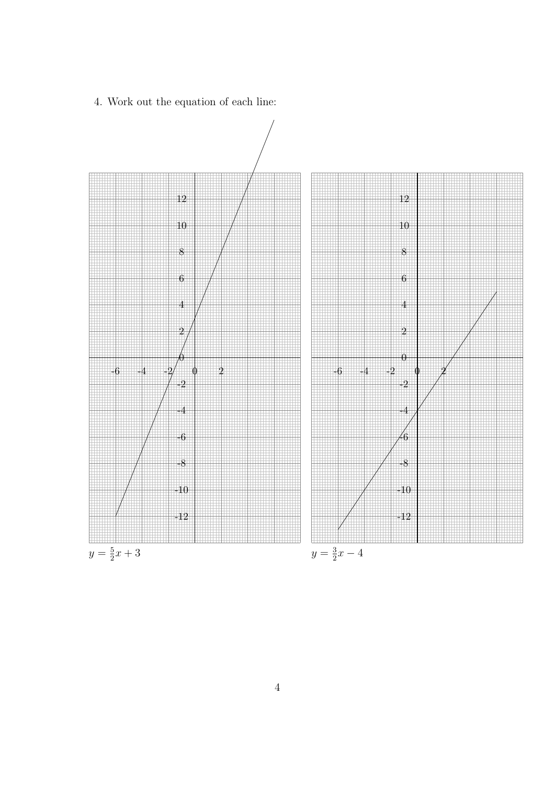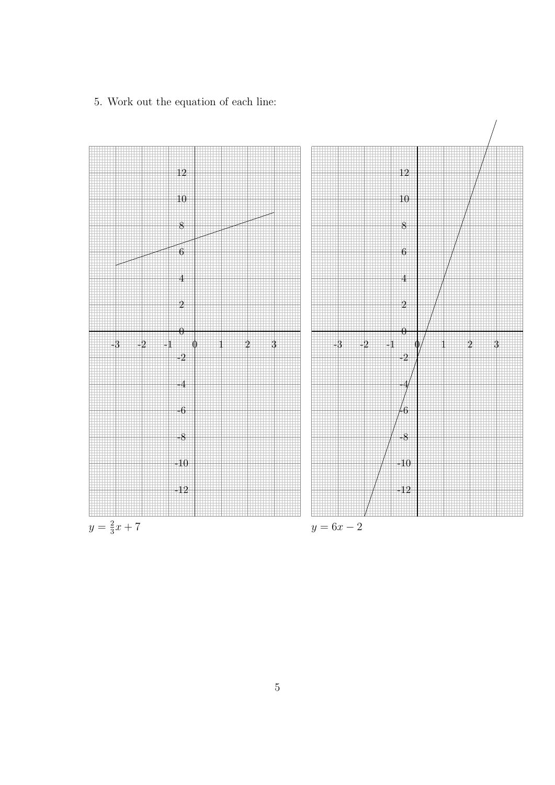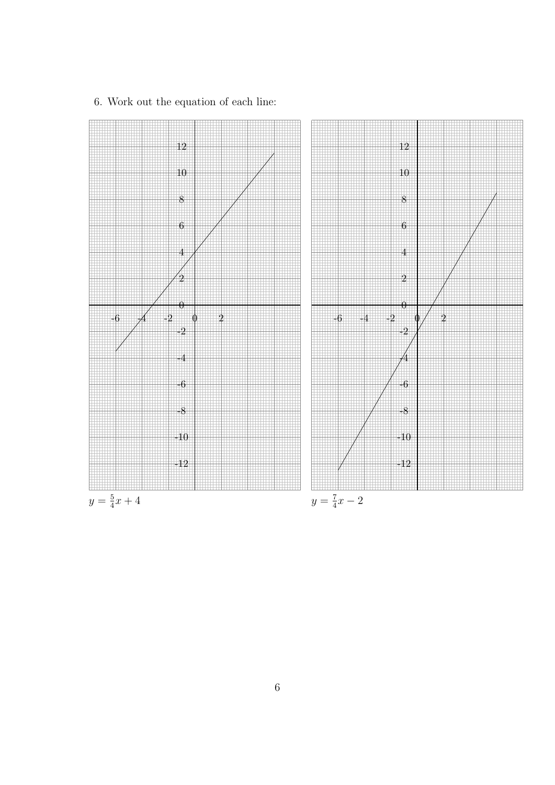

6. Work out the equation of each line: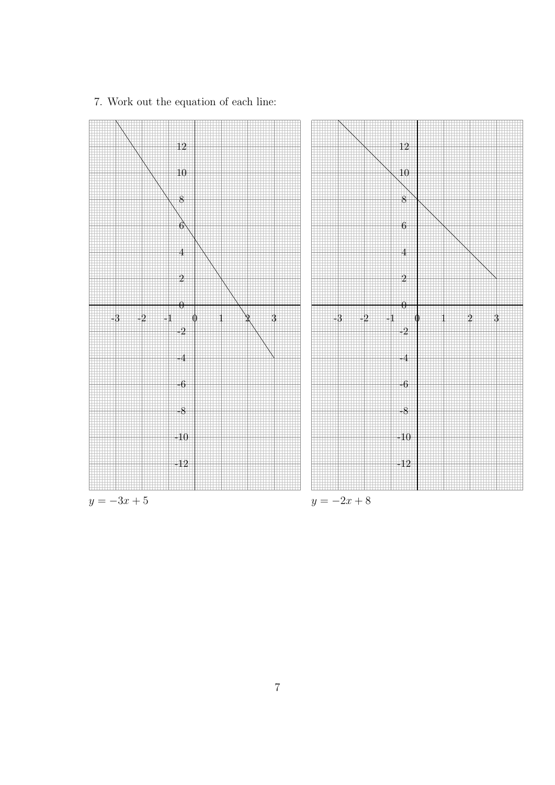

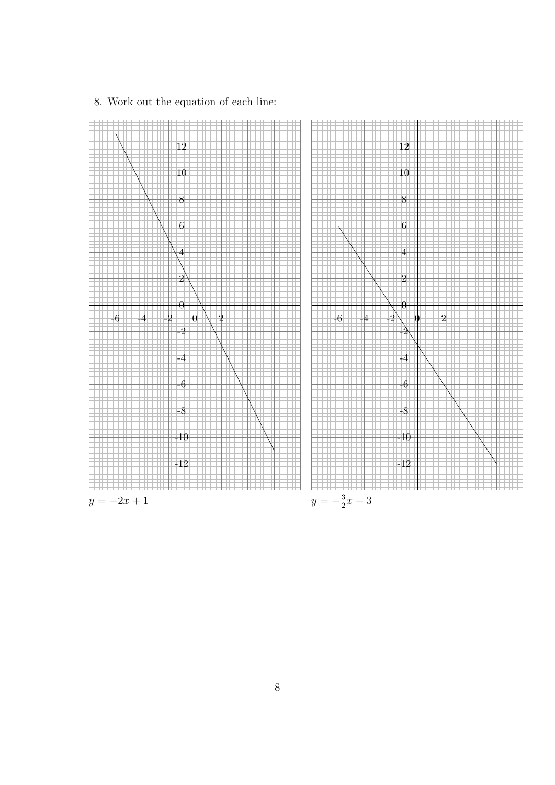

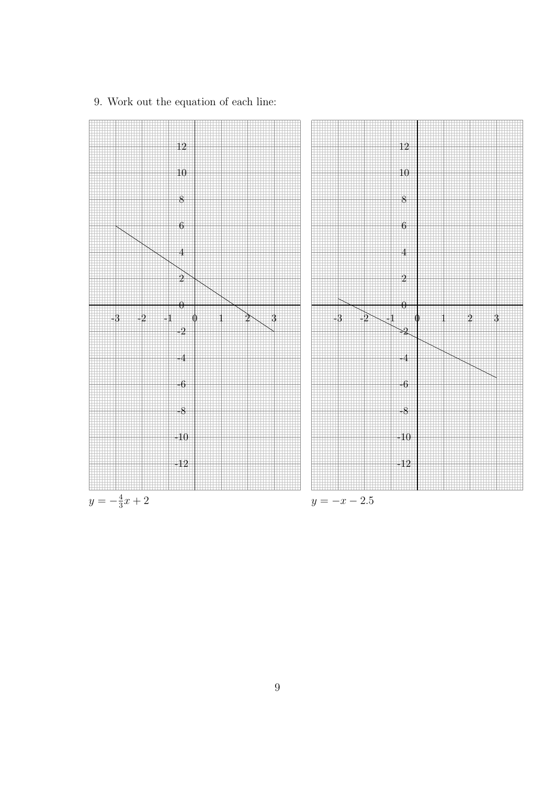